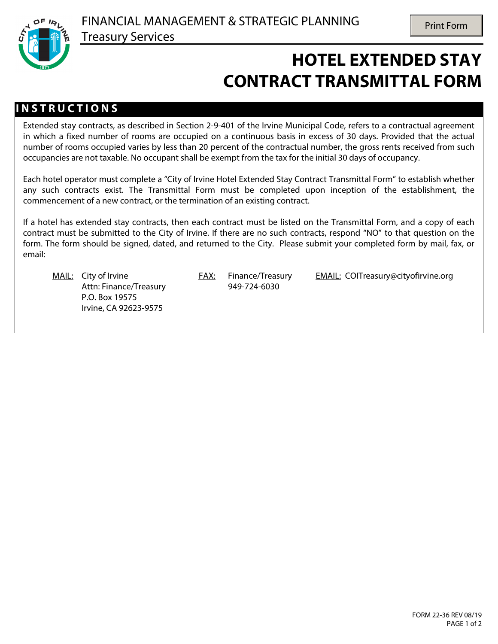

## **HOTEL EXTENDED STAY CONTRACT TRANSMITTAL FORM**

## **I N S T R U C T I O N S**

Extended stay contracts, as described in Section 2-9-401 of the Irvine Municipal Code, refers to a contractual agreement in which a fixed number of rooms are occupied on a continuous basis in excess of 30 days. Provided that the actual number of rooms occupied varies by less than 20 percent of the contractual number, the gross rents received from such occupancies are not taxable. No occupant shall be exempt from the tax for the initial 30 days of occupancy.

Each hotel operator must complete a "City of Irvine Hotel Extended Stay Contract Transmittal Form" to establish whether any such contracts exist. The Transmittal Form must be completed upon inception of the establishment, the commencement of a new contract, or the termination of an existing contract.

If a hotel has extended stay contracts, then each contract must be listed on the Transmittal Form, and a copy of each contract must be submitted to the City of Irvine. If there are no such contracts, respond "NO" to that question on the form. The form should be signed, dated, and returned to the City. Please submit your completed form by mail, fax, or email:

Attn: Finance/Treasury 949-724-6030 P.O. Box 19575 Irvine, CA 92623-9575

MAIL: City of Irvine **FAX:** Finance/Treasury EMAIL: COITreasury@cityofirvine.org